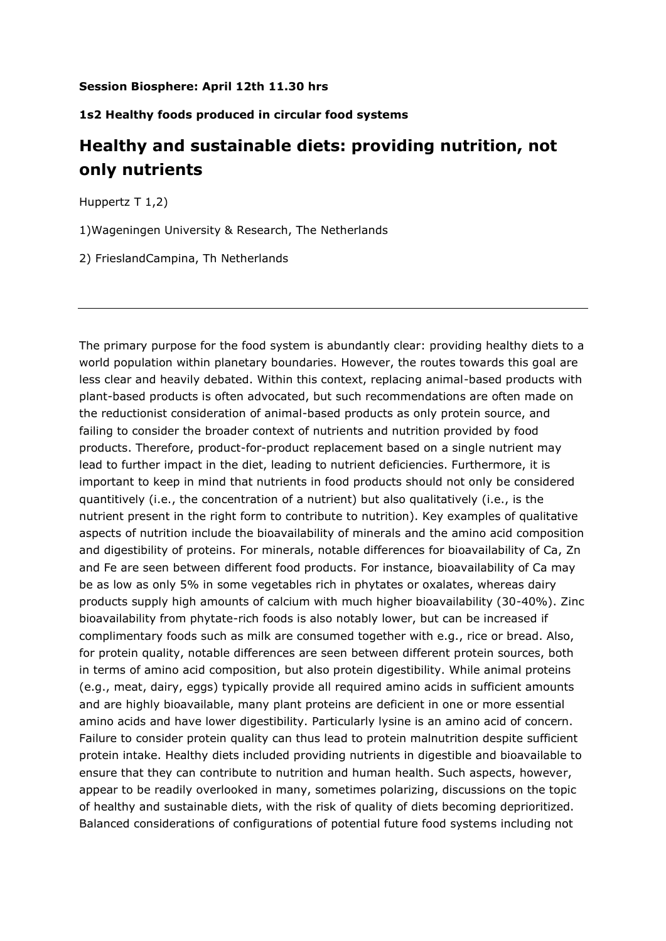## **Session Biosphere: April 12th 11.30 hrs**

## **1s2 Healthy foods produced in circular food systems**

## **Healthy and sustainable diets: providing nutrition, not only nutrients**

Huppertz T 1,2)

1)Wageningen University & Research, The Netherlands

2) FrieslandCampina, Th Netherlands

The primary purpose for the food system is abundantly clear: providing healthy diets to a world population within planetary boundaries. However, the routes towards this goal are less clear and heavily debated. Within this context, replacing animal-based products with plant-based products is often advocated, but such recommendations are often made on the reductionist consideration of animal-based products as only protein source, and failing to consider the broader context of nutrients and nutrition provided by food products. Therefore, product-for-product replacement based on a single nutrient may lead to further impact in the diet, leading to nutrient deficiencies. Furthermore, it is important to keep in mind that nutrients in food products should not only be considered quantitively (i.e., the concentration of a nutrient) but also qualitatively (i.e., is the nutrient present in the right form to contribute to nutrition). Key examples of qualitative aspects of nutrition include the bioavailability of minerals and the amino acid composition and digestibility of proteins. For minerals, notable differences for bioavailability of Ca, Zn and Fe are seen between different food products. For instance, bioavailability of Ca may be as low as only 5% in some vegetables rich in phytates or oxalates, whereas dairy products supply high amounts of calcium with much higher bioavailability (30-40%). Zinc bioavailability from phytate-rich foods is also notably lower, but can be increased if complimentary foods such as milk are consumed together with e.g., rice or bread. Also, for protein quality, notable differences are seen between different protein sources, both in terms of amino acid composition, but also protein digestibility. While animal proteins (e.g., meat, dairy, eggs) typically provide all required amino acids in sufficient amounts and are highly bioavailable, many plant proteins are deficient in one or more essential amino acids and have lower digestibility. Particularly lysine is an amino acid of concern. Failure to consider protein quality can thus lead to protein malnutrition despite sufficient protein intake. Healthy diets included providing nutrients in digestible and bioavailable to ensure that they can contribute to nutrition and human health. Such aspects, however, appear to be readily overlooked in many, sometimes polarizing, discussions on the topic of healthy and sustainable diets, with the risk of quality of diets becoming deprioritized. Balanced considerations of configurations of potential future food systems including not